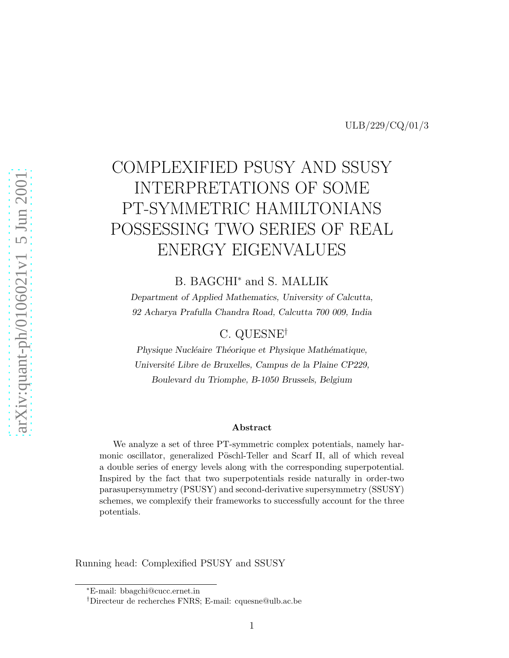# COMPLEXIFIED PSUSY AND SSUSY INTERPRETATIONS OF SOME PT-SYMMETRIC HAMILTONIANS POSSESSING TWO SERIES OF REAL ENERGY EIGENVALUES

B. BAGCHI<sup>∗</sup> and S. MALLIK

Department of Applied Mathematics, University of Calcutta, 92 Acharya Prafulla Chandra Road, Calcutta 700 009, India

### C. QUESNE†

Physique Nucléaire Théorique et Physique Mathématique, Université Libre de Bruxelles, Campus de la Plaine CP229, Boulevard du Triomphe, B-1050 Brussels, Belgium

#### Abstract

We analyze a set of three PT-symmetric complex potentials, namely harmonic oscillator, generalized Pöschl-Teller and Scarf II, all of which reveal a double series of energy levels along with the corresponding superpotential. Inspired by the fact that two superpotentials reside naturally in order-two parasupersymmetry (PSUSY) and second-derivative supersymmetry (SSUSY) schemes, we complexify their frameworks to successfully account for the three potentials.

Running head: Complexified PSUSY and SSUSY

<sup>∗</sup>E-mail: bbagchi@cucc.ernet.in

<sup>†</sup>Directeur de recherches FNRS; E-mail: cquesne@ulb.ac.be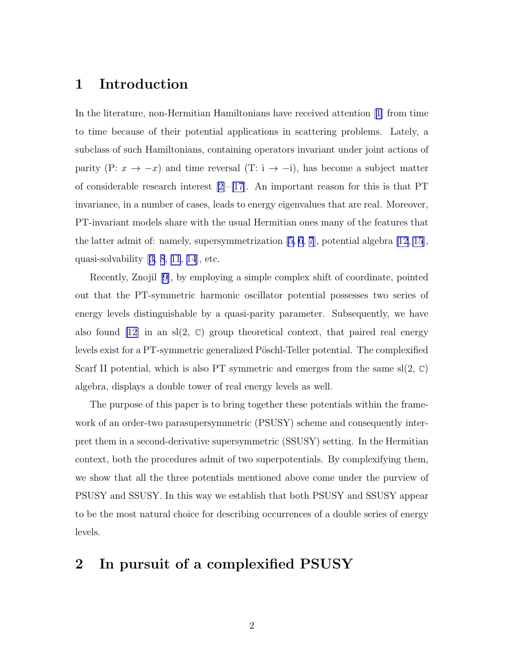### 1 Introduction

In the literature, non-Hermitian Hamiltonians have received attention[[1\]](#page-25-0) from time to time because of their potential applications in scattering problems. Lately, a subclass of such Hamiltonians, containing operators invariant under joint actions of parity (P:  $x \to -x$ ) and time reversal (T: i  $\to -i$ ), has become a subject matter of considerable research interest [\[2\]](#page-25-0)–[\[17\]](#page-26-0). An important reason for this is that PT invariance, in a number of cases, leads to energy eigenvalues that are real. Moreover, PT-invariant models share with the usual Hermitian ones many of the features that the latter admit of: namely, supersymmetrization [\[5, 6](#page-25-0), [7](#page-25-0)], potential algebra [\[12](#page-26-0), [15](#page-26-0)], quasi-solvability[[3, 8](#page-25-0), [11](#page-25-0), [14](#page-26-0)], etc.

Recently, Znojil[[9\]](#page-25-0), by employing a simple complex shift of coordinate, pointed out that the PT-symmetric harmonic oscillator potential possesses two series of energy levels distinguishable by a quasi-parity parameter. Subsequently, we have also found [\[12](#page-26-0)] in an sl(2,  $\mathbb{C}$ ) group theoretical context, that paired real energy levels exist for a PT-symmetric generalized Pöschl-Teller potential. The complexified Scarf II potential, which is also PT symmetric and emerges from the same  $sl(2, \mathbb{C})$ algebra, displays a double tower of real energy levels as well.

The purpose of this paper is to bring together these potentials within the framework of an order-two parasupersymmetric (PSUSY) scheme and consequently interpret them in a second-derivative supersymmetric (SSUSY) setting. In the Hermitian context, both the procedures admit of two superpotentials. By complexifying them, we show that all the three potentials mentioned above come under the purview of PSUSY and SSUSY. In this way we establish that both PSUSY and SSUSY appear to be the most natural choice for describing occurrences of a double series of energy levels.

### 2 In pursuit of a complexified PSUSY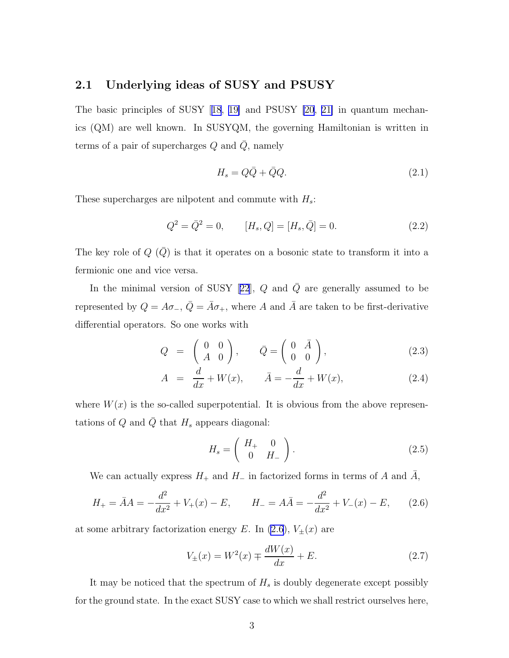### <span id="page-2-0"></span>2.1 Underlying ideas of SUSY and PSUSY

The basic principles of SUSY[[18](#page-26-0), [19\]](#page-26-0) and PSUSY [\[20](#page-26-0), [21\]](#page-26-0) in quantum mechanics (QM) are well known. In SUSYQM, the governing Hamiltonian is written in terms of a pair of supercharges  $Q$  and  $\overline{Q}$ , namely

$$
H_s = Q\bar{Q} + \bar{Q}Q. \tag{2.1}
$$

These supercharges are nilpotent and commute with  $H_s$ :

$$
Q^2 = \bar{Q}^2 = 0, \qquad [H_s, Q] = [H_s, \bar{Q}] = 0.
$$
\n(2.2)

The key role of  $Q(\bar{Q})$  is that it operates on a bosonic state to transform it into a fermionic one and vice versa.

Inthe minimal version of SUSY [[22](#page-26-0)],  $Q$  and  $\overline{Q}$  are generally assumed to be represented by  $Q = A\sigma_{-}$ ,  $\overline{Q} = \overline{A}\sigma_{+}$ , where A and  $\overline{A}$  are taken to be first-derivative differential operators. So one works with

$$
Q = \begin{pmatrix} 0 & 0 \\ A & 0 \end{pmatrix}, \qquad \bar{Q} = \begin{pmatrix} 0 & \bar{A} \\ 0 & 0 \end{pmatrix}, \tag{2.3}
$$

$$
A = \frac{d}{dx} + W(x), \qquad \bar{A} = -\frac{d}{dx} + W(x), \tag{2.4}
$$

where  $W(x)$  is the so-called superpotential. It is obvious from the above representations of  $Q$  and  $Q$  that  $H_s$  appears diagonal:

$$
H_s = \left(\begin{array}{cc} H_+ & 0\\ 0 & H_- \end{array}\right). \tag{2.5}
$$

We can actually express  $H_+$  and  $H_-$  in factorized forms in terms of A and A,

$$
H_{+} = \bar{A}A = -\frac{d^{2}}{dx^{2}} + V_{+}(x) - E, \qquad H_{-} = A\bar{A} = -\frac{d^{2}}{dx^{2}} + V_{-}(x) - E, \qquad (2.6)
$$

at some arbitrary factorization energy E. In (2.6),  $V_{\pm}(x)$  are

$$
V_{\pm}(x) = W^{2}(x) \mp \frac{dW(x)}{dx} + E.
$$
 (2.7)

It may be noticed that the spectrum of  $H_s$  is doubly degenerate except possibly for the ground state. In the exact SUSY case to which we shall restrict ourselves here,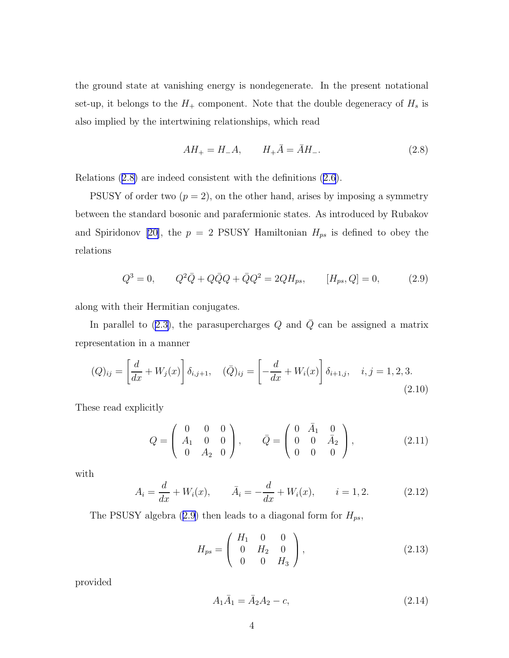<span id="page-3-0"></span>the ground state at vanishing energy is nondegenerate. In the present notational set-up, it belongs to the  $H_+$  component. Note that the double degeneracy of  $H_s$  is also implied by the intertwining relationships, which read

$$
AH_{+} = H_{-}A, \qquad H_{+}\bar{A} = \bar{A}H_{-}.
$$
 (2.8)

Relations (2.8) are indeed consistent with the definitions [\(2.6](#page-2-0)).

PSUSY of order two  $(p = 2)$ , on the other hand, arises by imposing a symmetry between the standard bosonic and parafermionic states. As introduced by Rubakov and Spiridonov [\[20\]](#page-26-0), the  $p = 2$  PSUSY Hamiltonian  $H_{ps}$  is defined to obey the relations

$$
Q^3 = 0, \qquad Q^2 \bar{Q} + Q \bar{Q} Q + \bar{Q} Q^2 = 2Q H_{ps}, \qquad [H_{ps}, Q] = 0, \tag{2.9}
$$

along with their Hermitian conjugates.

Inparallel to ([2.3\)](#page-2-0), the parasupercharges  $Q$  and  $\overline{Q}$  can be assigned a matrix representation in a manner

$$
(Q)_{ij} = \left[\frac{d}{dx} + W_j(x)\right] \delta_{i,j+1}, \quad (\bar{Q})_{ij} = \left[-\frac{d}{dx} + W_i(x)\right] \delta_{i+1,j}, \quad i, j = 1, 2, 3. \tag{2.10}
$$

These read explicitly

$$
Q = \begin{pmatrix} 0 & 0 & 0 \\ A_1 & 0 & 0 \\ 0 & A_2 & 0 \end{pmatrix}, \qquad \bar{Q} = \begin{pmatrix} 0 & \bar{A}_1 & 0 \\ 0 & 0 & \bar{A}_2 \\ 0 & 0 & 0 \end{pmatrix}, \tag{2.11}
$$

with

$$
A_i = \frac{d}{dx} + W_i(x), \qquad \bar{A}_i = -\frac{d}{dx} + W_i(x), \qquad i = 1, 2. \tag{2.12}
$$

The PSUSY algebra (2.9) then leads to a diagonal form for  $H_{ps}$ ,

$$
H_{ps} = \begin{pmatrix} H_1 & 0 & 0 \\ 0 & H_2 & 0 \\ 0 & 0 & H_3 \end{pmatrix},
$$
 (2.13)

provided

$$
A_1 \bar{A}_1 = \bar{A}_2 A_2 - c,\tag{2.14}
$$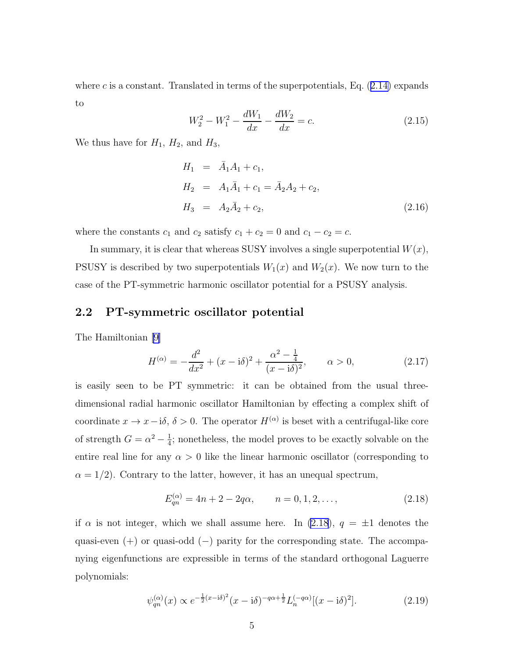<span id="page-4-0"></span>wherec is a constant. Translated in terms of the superpotentials, Eq.  $(2.14)$  $(2.14)$  expands to

$$
W_2^2 - W_1^2 - \frac{dW_1}{dx} - \frac{dW_2}{dx} = c.
$$
 (2.15)

We thus have for  $H_1$ ,  $H_2$ , and  $H_3$ ,

$$
H_1 = \bar{A}_1 A_1 + c_1,
$$
  
\n
$$
H_2 = A_1 \bar{A}_1 + c_1 = \bar{A}_2 A_2 + c_2,
$$
  
\n
$$
H_3 = A_2 \bar{A}_2 + c_2,
$$
\n(2.16)

where the constants  $c_1$  and  $c_2$  satisfy  $c_1 + c_2 = 0$  and  $c_1 - c_2 = c$ .

In summary, it is clear that whereas SUSY involves a single superpotential  $W(x)$ , PSUSY is described by two superpotentials  $W_1(x)$  and  $W_2(x)$ . We now turn to the case of the PT-symmetric harmonic oscillator potential for a PSUSY analysis.

#### 2.2 PT-symmetric oscillator potential

The Hamiltonian [\[9\]](#page-25-0)

$$
H^{(\alpha)} = -\frac{d^2}{dx^2} + (x - \mathrm{i}\delta)^2 + \frac{\alpha^2 - \frac{1}{4}}{(x - \mathrm{i}\delta)^2}, \qquad \alpha > 0,
$$
 (2.17)

is easily seen to be PT symmetric: it can be obtained from the usual threedimensional radial harmonic oscillator Hamiltonian by effecting a complex shift of coordinate  $x \to x - i\delta$ ,  $\delta > 0$ . The operator  $H^{(\alpha)}$  is beset with a centrifugal-like core of strength  $G = \alpha^2 - \frac{1}{4}$  $\frac{1}{4}$ ; nonetheless, the model proves to be exactly solvable on the entire real line for any  $\alpha > 0$  like the linear harmonic oscillator (corresponding to  $\alpha = 1/2$ . Contrary to the latter, however, it has an unequal spectrum,

$$
E_{qn}^{(\alpha)} = 4n + 2 - 2q\alpha, \qquad n = 0, 1, 2, \dots,
$$
\n(2.18)

if  $\alpha$  is not integer, which we shall assume here. In (2.18),  $q = \pm 1$  denotes the quasi-even (+) or quasi-odd (−) parity for the corresponding state. The accompanying eigenfunctions are expressible in terms of the standard orthogonal Laguerre polynomials:

$$
\psi_{qn}^{(\alpha)}(x) \propto e^{-\frac{1}{2}(x-\mathrm{i}\delta)^2}(x-\mathrm{i}\delta)^{-q\alpha+\frac{1}{2}}L_n^{(-q\alpha)}[(x-\mathrm{i}\delta)^2].\tag{2.19}
$$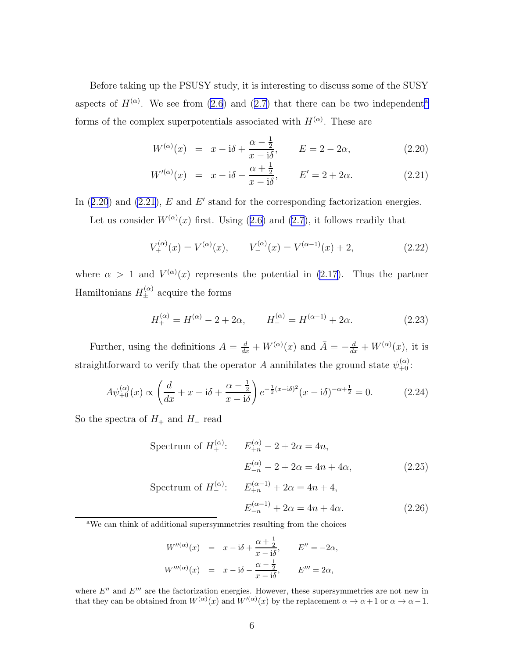<span id="page-5-0"></span>Before taking up the PSUSY study, it is interesting to discuss some of the SUSY aspectsof  $H^{(\alpha)}$ . We see from [\(2.6](#page-2-0)) and ([2.7\)](#page-2-0) that there can be two independent<sup>a</sup> forms of the complex superpotentials associated with  $H^{(\alpha)}$ . These are

$$
W^{(\alpha)}(x) = x - i\delta + \frac{\alpha - \frac{1}{2}}{x - i\delta}, \qquad E = 2 - 2\alpha,
$$
\n(2.20)

$$
W^{(\alpha)}(x) = x - i\delta - \frac{\alpha + \frac{1}{2}}{x - i\delta}, \qquad E' = 2 + 2\alpha.
$$
 (2.21)

In  $(2.20)$  and  $(2.21)$ , E and E' stand for the corresponding factorization energies.

Letus consider  $W^{(\alpha)}(x)$  first. Using ([2.6\)](#page-2-0) and [\(2.7](#page-2-0)), it follows readily that

$$
V_{+}^{(\alpha)}(x) = V^{(\alpha)}(x), \qquad V_{-}^{(\alpha)}(x) = V^{(\alpha-1)}(x) + 2,\tag{2.22}
$$

where  $\alpha > 1$  and  $V^{(\alpha)}(x)$  represents the potential in [\(2.17](#page-4-0)). Thus the partner Hamiltonians  $H_{\pm}^{(\alpha)}$  acquire the forms

$$
H_{+}^{(\alpha)} = H^{(\alpha)} - 2 + 2\alpha, \qquad H_{-}^{(\alpha)} = H^{(\alpha - 1)} + 2\alpha. \tag{2.23}
$$

Further, using the definitions  $A = \frac{d}{dx} + W^{(\alpha)}(x)$  and  $\overline{A} = -\frac{d}{dx} + W^{(\alpha)}(x)$ , it is straightforward to verify that the operator A annihilates the ground state  $\psi_{+0}^{(\alpha)}$ :

$$
A\psi_{+0}^{(\alpha)}(x) \propto \left(\frac{d}{dx} + x - i\delta + \frac{\alpha - \frac{1}{2}}{x - i\delta}\right) e^{-\frac{1}{2}(x - i\delta)^2} (x - i\delta)^{-\alpha + \frac{1}{2}} = 0.
$$
 (2.24)

So the spectra of  $H_+$  and  $H_-$  read

Spectrum of  $H_{+}^{(\alpha)}$ :  $E_{+n}^{(\alpha)} - 2 + 2\alpha = 4n$ ,  $E_{-n}^{(\alpha)} - 2 + 2\alpha = 4n + 4\alpha,$  (2.25) Spectrum of  $H_{-}^{(\alpha)}$ :  $E_{+n}^{(\alpha-1)} + 2\alpha = 4n + 4$ ,  $E_{-n}^{(\alpha-1)} + 2\alpha = 4n + 4\alpha.$  (2.26)

<sup>a</sup>We can think of additional supersymmetries resulting from the choices

$$
W''^{(\alpha)}(x) = x - i\delta + \frac{\alpha + \frac{1}{2}}{x - i\delta}, \qquad E'' = -2\alpha,
$$
  

$$
W'''^{(\alpha)}(x) = x - i\delta - \frac{\alpha - \frac{1}{2}}{x - i\delta}, \qquad E''' = 2\alpha,
$$

where  $E''$  and  $E'''$  are the factorization energies. However, these supersymmetries are not new in that they can be obtained from  $W^{(\alpha)}(x)$  and  $W^{(\alpha)}(x)$  by the replacement  $\alpha \to \alpha + 1$  or  $\alpha \to \alpha - 1$ .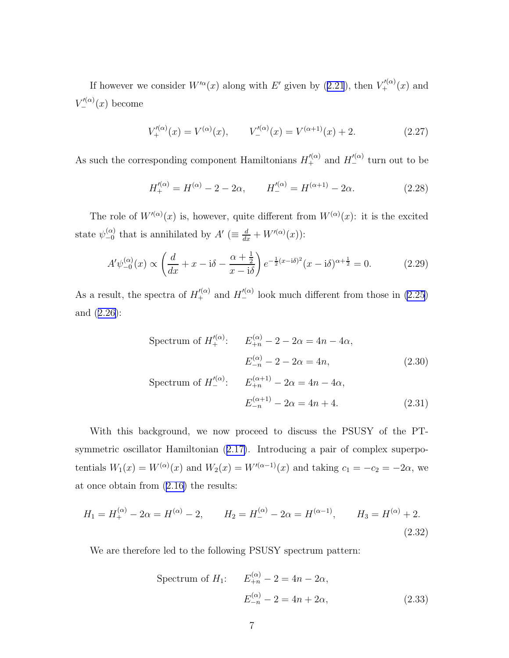<span id="page-6-0"></span>Ifhowever we consider  $W^{\prime\alpha}(x)$  along with E' given by ([2.21](#page-5-0)), then  $V'^{(\alpha)}_{+}(x)$  and  $V'^{(\alpha)}_{-}(x)$  become

$$
V_{+}^{\prime(\alpha)}(x) = V^{(\alpha)}(x), \qquad V_{-}^{\prime(\alpha)}(x) = V^{(\alpha+1)}(x) + 2. \tag{2.27}
$$

As such the corresponding component Hamiltonians  $H'^{(\alpha)}_{+}$  and  $H'^{(\alpha)}_{-}$  turn out to be

$$
H_+^{\prime(\alpha)} = H^{(\alpha)} - 2 - 2\alpha, \qquad H_-^{\prime(\alpha)} = H^{(\alpha+1)} - 2\alpha. \tag{2.28}
$$

The role of  $W'^{(\alpha)}(x)$  is, however, quite different from  $W^{(\alpha)}(x)$ : it is the excited state  $\psi_{-0}^{(\alpha)}$  that is annihilated by  $A' \ (\equiv \frac{d}{dx} + W'^{(\alpha)}(x))$ :

$$
A'\psi_{-0}^{(\alpha)}(x) \propto \left(\frac{d}{dx} + x - i\delta - \frac{\alpha + \frac{1}{2}}{x - i\delta}\right) e^{-\frac{1}{2}(x - i\delta)^2} (x - i\delta)^{\alpha + \frac{1}{2}} = 0.
$$
 (2.29)

As a result, the spectra of  $H'^{(\alpha)}_{+}$  and  $H'^{(\alpha)}_{-}$  look much different from those in [\(2.25](#page-5-0)) and([2.26\)](#page-5-0):

Spectrum of 
$$
H_{+}^{\prime(\alpha)}
$$
:  $E_{+n}^{(\alpha)} - 2 - 2\alpha = 4n - 4\alpha$ ,  
 $E_{-n}^{(\alpha)} - 2 - 2\alpha = 4n$ , (2.30)

Spectrum of 
$$
H_{-}^{\prime(\alpha)}
$$
:  $E_{+n}^{(\alpha+1)} - 2\alpha = 4n - 4\alpha$ ,  
 $E_{-n}^{(\alpha+1)} - 2\alpha = 4n + 4$ . (2.31)

With this background, we now proceed to discuss the PSUSY of the PTsymmetric oscillator Hamiltonian([2.17\)](#page-4-0). Introducing a pair of complex superpotentials  $W_1(x) = W^{(\alpha)}(x)$  and  $W_2(x) = W^{(\alpha-1)}(x)$  and taking  $c_1 = -c_2 = -2\alpha$ , we at once obtain from [\(2.16\)](#page-4-0) the results:

$$
H_1 = H_+^{(\alpha)} - 2\alpha = H^{(\alpha)} - 2, \qquad H_2 = H_-^{(\alpha)} - 2\alpha = H^{(\alpha - 1)}, \qquad H_3 = H^{(\alpha)} + 2.
$$
\n(2.32)

We are therefore led to the following PSUSY spectrum pattern:

Spectrum of 
$$
H_1
$$
:  $E_{+n}^{(\alpha)} - 2 = 4n - 2\alpha$ ,  
 $E_{-n}^{(\alpha)} - 2 = 4n + 2\alpha$ , (2.33)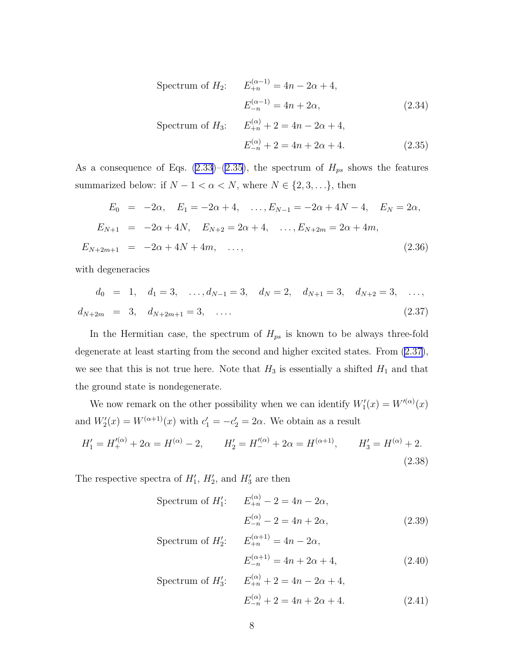<span id="page-7-0"></span>Spectrum of 
$$
H_2
$$
:  $E_{+n}^{(\alpha-1)} = 4n - 2\alpha + 4$ ,  
 $E_{-n}^{(\alpha-1)} = 4n + 2\alpha$ , (2.34)

Spectrum of 
$$
H_3
$$
:  $E_{+n}^{(\alpha)} + 2 = 4n - 2\alpha + 4$ ,  
 $E_{-n}^{(\alpha)} + 2 = 4n + 2\alpha + 4$ . (2.35)

As a consequence of Eqs. [\(2.33](#page-6-0))–[\(2.35\)](#page-6-0), the spectrum of  $H_{ps}$  shows the features summarized below: if  $N - 1 < \alpha < N$ , where  $N \in \{2, 3, \ldots\}$ , then

$$
E_0 = -2\alpha, \quad E_1 = -2\alpha + 4, \quad \dots, E_{N-1} = -2\alpha + 4N - 4, \quad E_N = 2\alpha,
$$
  
\n
$$
E_{N+1} = -2\alpha + 4N, \quad E_{N+2} = 2\alpha + 4, \quad \dots, E_{N+2m} = 2\alpha + 4m,
$$
  
\n
$$
E_{N+2m+1} = -2\alpha + 4N + 4m, \quad \dots,
$$
\n(2.36)

with degeneracies

$$
d_0 = 1, \quad d_1 = 3, \quad \dots, d_{N-1} = 3, \quad d_N = 2, \quad d_{N+1} = 3, \quad d_{N+2} = 3, \quad \dots, d_{N+2m} = 3, \quad d_{N+2m+1} = 3, \quad \dots
$$
\n(2.37)

In the Hermitian case, the spectrum of  $H_{ps}$  is known to be always three-fold degenerate at least starting from the second and higher excited states. From (2.37), we see that this is not true here. Note that  $H_3$  is essentially a shifted  $H_1$  and that the ground state is nondegenerate.

We now remark on the other possibility when we can identify  $W'_1(x) = W'^{(\alpha)}(x)$ and  $W_2'(x) = W^{(\alpha+1)}(x)$  with  $c_1' = -c_2' = 2\alpha$ . We obtain as a result

$$
H_1' = H_+^{\prime(\alpha)} + 2\alpha = H^{(\alpha)} - 2, \qquad H_2' = H_-^{\prime(\alpha)} + 2\alpha = H^{(\alpha+1)}, \qquad H_3' = H^{(\alpha)} + 2.
$$
\n(2.38)

The respective spectra of  $H'_1$ ,  $H'_2$ , and  $H'_3$  are then

Spectrum of  $H_1'$ :  $E_{+n}^{(\alpha)} - 2 = 4n - 2\alpha$ ,  $E_{-n}^{(\alpha)} - 2 = 4n + 2\alpha,$  (2.39)

Spectrum of 
$$
H'_2
$$
:  $E_{+n}^{(\alpha+1)} = 4n - 2\alpha$ ,  
 $E_{-n}^{(\alpha+1)} = 4n + 2\alpha + 4$ , (2.40)

Spectrum of 
$$
H'_3
$$
:  $E_{+n}^{(\alpha)} + 2 = 4n - 2\alpha + 4$ ,  
 $E_{-n}^{(\alpha)} + 2 = 4n + 2\alpha + 4$ . (2.41)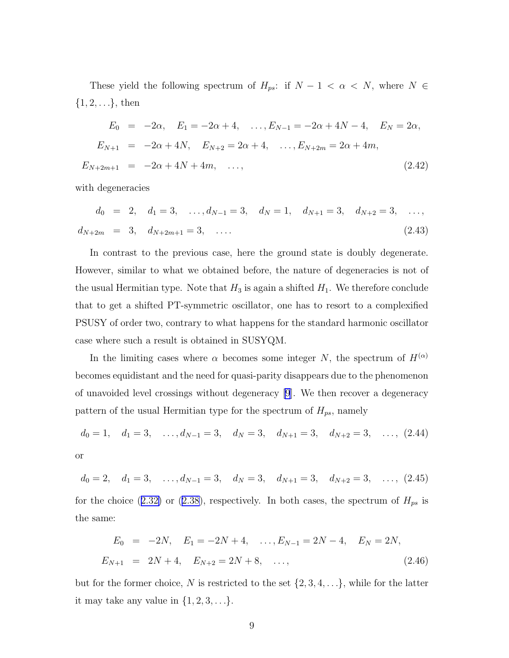These yield the following spectrum of  $H_{ps}$ : if  $N - 1 < \alpha < N$ , where  $N \in$  $\{1, 2, \ldots\}$ , then

$$
E_0 = -2\alpha, \quad E_1 = -2\alpha + 4, \quad \dots, E_{N-1} = -2\alpha + 4N - 4, \quad E_N = 2\alpha,
$$
  
\n
$$
E_{N+1} = -2\alpha + 4N, \quad E_{N+2} = 2\alpha + 4, \quad \dots, E_{N+2m} = 2\alpha + 4m,
$$
  
\n
$$
E_{N+2m+1} = -2\alpha + 4N + 4m, \quad \dots,
$$
\n(2.42)

with degeneracies

$$
d_0 = 2, \quad d_1 = 3, \quad \dots, d_{N-1} = 3, \quad d_N = 1, \quad d_{N+1} = 3, \quad d_{N+2} = 3, \quad \dots, d_{N+2m} = 3, \quad d_{N+2m+1} = 3, \quad \dots
$$
\n(2.43)

In contrast to the previous case, here the ground state is doubly degenerate. However, similar to what we obtained before, the nature of degeneracies is not of the usual Hermitian type. Note that  $H_3$  is again a shifted  $H_1$ . We therefore conclude that to get a shifted PT-symmetric oscillator, one has to resort to a complexified PSUSY of order two, contrary to what happens for the standard harmonic oscillator case where such a result is obtained in SUSYQM.

In the limiting cases where  $\alpha$  becomes some integer N, the spectrum of  $H^{(\alpha)}$ becomes equidistant and the need for quasi-parity disappears due to the phenomenon of unavoided level crossings without degeneracy [\[9](#page-25-0)]. We then recover a degeneracy pattern of the usual Hermitian type for the spectrum of  $H_{ps}$ , namely

$$
d_0 = 1
$$
,  $d_1 = 3$ , ...,  $d_{N-1} = 3$ ,  $d_N = 3$ ,  $d_{N+1} = 3$ ,  $d_{N+2} = 3$ , ..., (2.44)  
or

$$
d_0 = 2, \quad d_1 = 3, \quad \dots, d_{N-1} = 3, \quad d_N = 3, \quad d_{N+1} = 3, \quad d_{N+2} = 3, \quad \dots, (2.45)
$$
  
for the choice (2.32) or (2.38), respectively. In both cases, the spectrum of  $H_{ps}$  is  
the same:

$$
E_0 = -2N, \quad E_1 = -2N + 4, \quad \dots, E_{N-1} = 2N - 4, \quad E_N = 2N,
$$
  

$$
E_{N+1} = 2N + 4, \quad E_{N+2} = 2N + 8, \quad \dots,
$$
 (2.46)

but for the former choice, N is restricted to the set  $\{2, 3, 4, \ldots\}$ , while for the latter it may take any value in  $\{1, 2, 3, \ldots\}$ .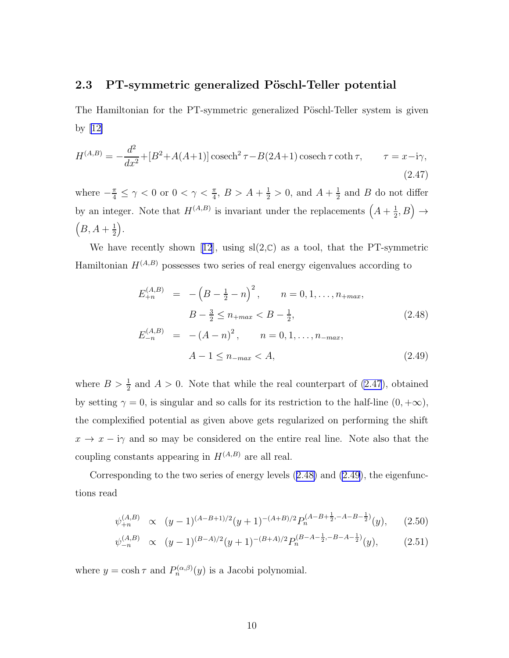### <span id="page-9-0"></span>2.3 PT-symmetric generalized Pöschl-Teller potential

The Hamiltonian for the PT-symmetric generalized Pöschl-Teller system is given by[[12\]](#page-26-0)

$$
H^{(A,B)} = -\frac{d^2}{dx^2} + [B^2 + A(A+1)]\cosech^2 \tau - B(2A+1)\cosech \tau \coth \tau, \qquad \tau = x - i\gamma,
$$
\n(2.47)

where  $-\frac{\pi}{4} \leq \gamma < 0$  or  $0 < \gamma < \frac{\pi}{4}$ ,  $B > A + \frac{1}{2} > 0$ , and  $A + \frac{1}{2}$  $\frac{1}{2}$  and *B* do not differ by an integer. Note that  $H^{(A,B)}$  is invariant under the replacements  $\left(A + \frac{1}{2}\right)$  $\frac{1}{2},B\Big)\rightarrow$  $(B, A + \frac{1}{2})$  $\frac{1}{2}$ .

Wehave recently shown [[12](#page-26-0)], using  $sl(2,\mathbb{C})$  as a tool, that the PT-symmetric Hamiltonian  $H^{(A,B)}$  possesses two series of real energy eigenvalues according to

$$
E_{+n}^{(A,B)} = -\left(B - \frac{1}{2} - n\right)^2, \qquad n = 0, 1, \dots, n_{+max},
$$
  
\n
$$
B - \frac{3}{2} \le n_{+max} < B - \frac{1}{2},
$$
  
\n
$$
E_{-n}^{(A,B)} = -(A - n)^2, \qquad n = 0, 1, \dots, n_{-max},
$$
  
\n
$$
A - 1 \le n_{-max} < A,
$$
\n(2.49)

where  $B > \frac{1}{2}$  and  $A > 0$ . Note that while the real counterpart of (2.47), obtained by setting  $\gamma = 0$ , is singular and so calls for its restriction to the half-line  $(0, +\infty)$ , the complexified potential as given above gets regularized on performing the shift  $x \to x - i\gamma$  and so may be considered on the entire real line. Note also that the coupling constants appearing in  $H^{(A,B)}$  are all real.

Corresponding to the two series of energy levels (2.48) and (2.49), the eigenfunctions read

$$
\psi_{+n}^{(A,B)} \propto (y-1)^{(A-B+1)/2}(y+1)^{-(A+B)/2} P_n^{(A-B+\frac{1}{2}, -A-B-\frac{1}{2})}(y), \quad (2.50)
$$

$$
\psi_{-n}^{(A,B)} \propto (y-1)^{(B-A)/2}(y+1)^{-(B+A)/2} P_n^{(B-A-\frac{1}{2},-B-A-\frac{1}{2})}(y), \qquad (2.51)
$$

where  $y = \cosh \tau$  and  $P_n^{(\alpha,\beta)}(y)$  is a Jacobi polynomial.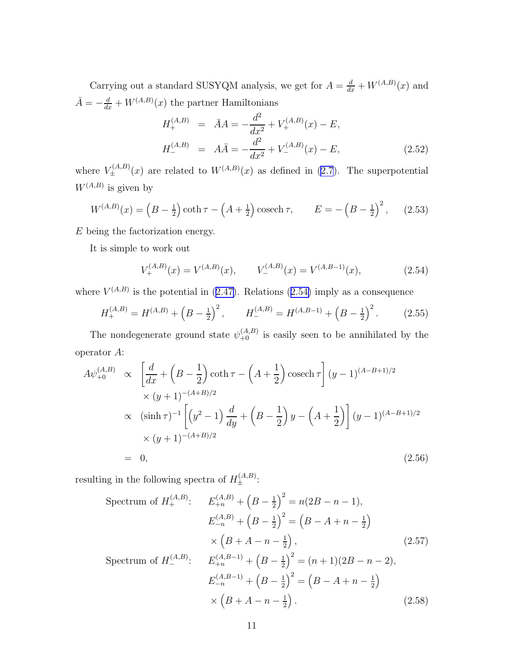<span id="page-10-0"></span>Carrying out a standard SUSYQM analysis, we get for  $A = \frac{d}{dx} + W^{(A,B)}(x)$  and  $\bar{A} = -\frac{d}{dx} + W^{(A,B)}(x)$  the partner Hamiltonians

$$
H_{+}^{(A,B)} = \bar{A}A = -\frac{d^{2}}{dx^{2}} + V_{+}^{(A,B)}(x) - E,
$$
  
\n
$$
H_{-}^{(A,B)} = A\bar{A} = -\frac{d^{2}}{dx^{2}} + V_{-}^{(A,B)}(x) - E,
$$
\n(2.52)

where  $V_{\pm}^{(A,B)}(x)$  are related to  $W^{(A,B)}(x)$  as defined in [\(2.7](#page-2-0)). The superpotential  $W^{(A,B)}$  is given by

$$
W^{(A,B)}(x) = \left(B - \frac{1}{2}\right) \coth \tau - \left(A + \frac{1}{2}\right) \operatorname{cosech} \tau, \qquad E = -\left(B - \frac{1}{2}\right)^2, \tag{2.53}
$$

E being the factorization energy.

It is simple to work out

$$
V_{+}^{(A,B)}(x) = V_{-}^{(A,B)}(x), \qquad V_{-}^{(A,B)}(x) = V_{-}^{(A,B-1)}(x), \tag{2.54}
$$

where $V^{(A,B)}$  is the potential in ([2.47\)](#page-9-0). Relations (2.54) imply as a consequence

$$
H_{+}^{(A,B)} = H_{-}^{(A,B)} + \left(B - \frac{1}{2}\right)^{2}, \qquad H_{-}^{(A,B)} = H_{-}^{(A,B-1)} + \left(B - \frac{1}{2}\right)^{2}.
$$
 (2.55)

The nondegenerate ground state  $\psi_{+0}^{(A,B)}$  is easily seen to be annihilated by the operator A:

$$
A\psi_{+0}^{(A,B)} \propto \left[\frac{d}{dx} + \left(B - \frac{1}{2}\right)\coth \tau - \left(A + \frac{1}{2}\right)\operatorname{cosech}\tau\right](y - 1)^{(A - B + 1)/2}
$$
  
 
$$
\times (y + 1)^{-(A + B)/2}
$$
  
 
$$
\propto (\sinh \tau)^{-1} \left[\left(y^2 - 1\right)\frac{d}{dy} + \left(B - \frac{1}{2}\right)y - \left(A + \frac{1}{2}\right)\right](y - 1)^{(A - B + 1)/2}
$$
  
 
$$
\times (y + 1)^{-(A + B)/2}
$$
  
= 0, (2.56)

resulting in the following spectra of  $H_{\pm}^{(A,B)}$ :

$$
\begin{aligned}\n\text{Spectrum of } H_+^{(A,B)}: \quad & E_{+n}^{(A,B)} + \left(B - \frac{1}{2}\right)^2 = n(2B - n - 1), \\
& E_{-n}^{(A,B)} + \left(B - \frac{1}{2}\right)^2 = \left(B - A + n - \frac{1}{2}\right) \\
&\times \left(B + A - n - \frac{1}{2}\right), \\
& \text{Spectrum of } H_-^{(A,B)}: \quad & E_{+n}^{(A,B-1)} + \left(B - \frac{1}{2}\right)^2 = (n+1)(2B - n - 2), \\
& E_{-n}^{(A,B-1)} + \left(B - \frac{1}{2}\right)^2 = \left(B - A + n - \frac{1}{2}\right) \\
&\times \left(B + A - n - \frac{1}{2}\right).\n\end{aligned}\n\tag{2.58}
$$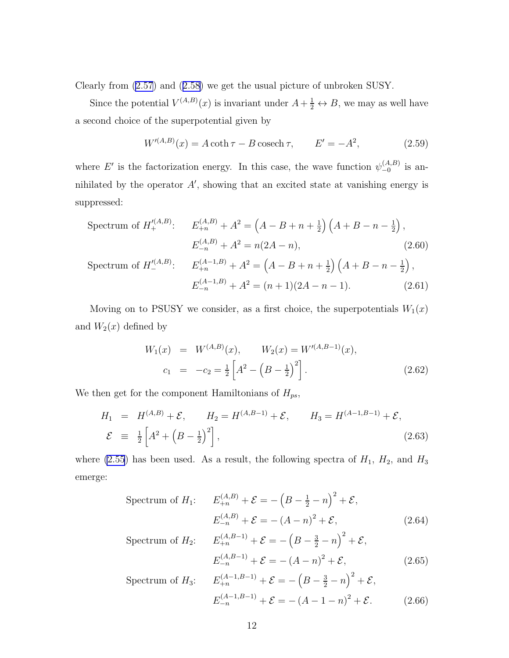<span id="page-11-0"></span>Clearly from [\(2.57](#page-10-0)) and([2.58\)](#page-10-0) we get the usual picture of unbroken SUSY.

Since the potential  $V^{(A,B)}(x)$  is invariant under  $A+\frac{1}{2} \leftrightarrow B$ , we may as well have a second choice of the superpotential given by

$$
W^{\prime(A,B)}(x) = A \coth \tau - B \operatorname{cosech} \tau, \qquad E' = -A^2,\tag{2.59}
$$

where E' is the factorization energy. In this case, the wave function  $\psi_{-0}^{(A,B)}$  is annihilated by the operator  $A'$ , showing that an excited state at vanishing energy is suppressed:

$$
\begin{aligned}\n\text{Spectrum of } H_+^{\prime (A,B)}: \quad E_{+n}^{(A,B)} + A^2 &= \left(A - B + n + \frac{1}{2}\right) \left(A + B - n - \frac{1}{2}\right), \\
E_{-n}^{(A,B)} + A^2 &= n(2A - n), \\
\text{Spectrum of } H_-^{\prime (A,B)}: \quad E_{+n}^{(A-1,B)} + A^2 &= \left(A - B + n + \frac{1}{2}\right) \left(A + B - n - \frac{1}{2}\right), \\
E_{-n}^{(A-1,B)} + A^2 &= (n+1)(2A - n - 1).\n\end{aligned} \tag{2.61}
$$

Moving on to PSUSY we consider, as a first choice, the superpotentials  $W_1(x)$ and  $W_2(x)$  defined by

$$
W_1(x) = W^{(A,B)}(x), \qquad W_2(x) = W'^{(A,B-1)}(x),
$$
  
\n
$$
c_1 = -c_2 = \frac{1}{2} \left[ A^2 - \left( B - \frac{1}{2} \right)^2 \right].
$$
\n(2.62)

We then get for the component Hamiltonians of  $H_{ps}$ ,

$$
H_1 = H^{(A,B)} + \mathcal{E}, \qquad H_2 = H^{(A,B-1)} + \mathcal{E}, \qquad H_3 = H^{(A-1,B-1)} + \mathcal{E},
$$
  

$$
\mathcal{E} \equiv \frac{1}{2} \left[ A^2 + \left( B - \frac{1}{2} \right)^2 \right], \qquad (2.63)
$$

where [\(2.55](#page-10-0)) has been used. As a result, the following spectra of  $H_1$ ,  $H_2$ , and  $H_3$ emerge:

Spectrum of 
$$
H_1
$$
:  $E_{+n}^{(A,B)} + \mathcal{E} = -\left(B - \frac{1}{2} - n\right)^2 + \mathcal{E}$ ,  
 $E_{-n}^{(A,B)} + \mathcal{E} = -\left(A - n\right)^2 + \mathcal{E}$ , (2.64)

Spectrum of 
$$
H_2
$$
:  $E_{+n}^{(A,B-1)} + \mathcal{E} = -\left(B - \frac{3}{2} - n\right)^2 + \mathcal{E}$ ,  
 $E_{-n}^{(A,B-1)} + \mathcal{E} = -\left(A - n\right)^2 + \mathcal{E}$ , (2.65)

Spectrum of 
$$
H_3
$$
:  $E_{+n}^{(A-1,B-1)} + \mathcal{E} = -\left(B - \frac{3}{2} - n\right)^2 + \mathcal{E},$   
 $E_{-n}^{(A-1,B-1)} + \mathcal{E} = -\left(A - 1 - n\right)^2 + \mathcal{E}.$  (2.66)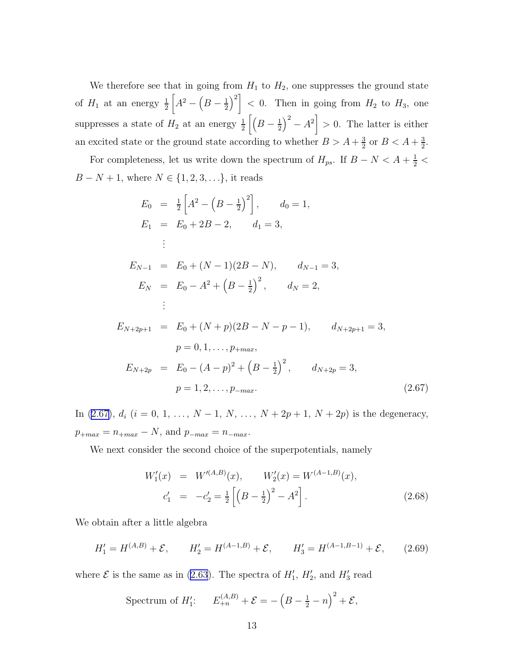We therefore see that in going from  $H_1$  to  $H_2$ , one suppresses the ground state of  $H_1$  at an energy  $\frac{1}{2}$  $A^2 - (B - \frac{1}{2})$  $\left(\frac{1}{2}\right)^2$  < 0. Then in going from  $H_2$  to  $H_3$ , one suppresses a state of  $H_2$  at an energy  $\frac{1}{2}\left[\left(B-\frac{1}{2}\right)\right]$  $\left(\frac{1}{2}\right)^2 - A^2$  > 0. The latter is either an excited state or the ground state according to whether  $B > A + \frac{3}{2}$  $\frac{3}{2}$  or  $B < A + \frac{3}{2}$  $\frac{3}{2}$ .

For completeness, let us write down the spectrum of  $H_{ps}$ . If  $B-N < A+\frac{1}{2}$  $B - N + 1$ , where  $N \in \{1, 2, 3, ...\}$ , it reads

$$
E_0 = \frac{1}{2} \left[ A^2 - \left( B - \frac{1}{2} \right)^2 \right], \qquad d_0 = 1,
$$
  
\n
$$
E_1 = E_0 + 2B - 2, \qquad d_1 = 3,
$$
  
\n
$$
\vdots
$$
  
\n
$$
E_{N-1} = E_0 + (N-1)(2B - N), \qquad d_{N-1} = 3,
$$
  
\n
$$
E_N = E_0 - A^2 + \left( B - \frac{1}{2} \right)^2, \qquad d_N = 2,
$$
  
\n
$$
\vdots
$$
  
\n
$$
E_{N+2p+1} = E_0 + (N+p)(2B - N - p - 1), \qquad d_{N+2p+1} = 3,
$$
  
\n
$$
p = 0, 1, \ldots, p_{+max},
$$
  
\n
$$
E_{N+2p} = E_0 - (A - p)^2 + \left( B - \frac{1}{2} \right)^2, \qquad d_{N+2p} = 3,
$$
  
\n
$$
p = 1, 2, \ldots, p_{-max}.
$$
  
\n(2.67)

In (2.67),  $d_i$  ( $i = 0, 1, ..., N - 1, N, ..., N + 2p + 1, N + 2p$ ) is the degeneracy,  $p_{+max} = n_{+max} - N$ , and  $p_{-max} = n_{-max}$ .

We next consider the second choice of the superpotentials, namely

$$
W_1'(x) = W'^{(A,B)}(x), \qquad W_2'(x) = W^{(A-1,B)}(x),
$$
  
\n
$$
c_1' = -c_2' = \frac{1}{2} \left[ \left( B - \frac{1}{2} \right)^2 - A^2 \right].
$$
\n(2.68)

We obtain after a little algebra

$$
H_1' = H^{(A,B)} + \mathcal{E}, \qquad H_2' = H^{(A-1,B)} + \mathcal{E}, \qquad H_3' = H^{(A-1,B-1)} + \mathcal{E}, \qquad (2.69)
$$

where  $\mathcal E$  is the same as in [\(2.63](#page-11-0)). The spectra of  $H'_1$ ,  $H'_2$ , and  $H'_3$  read

Spectrum of 
$$
H'_1
$$
:  $E_{+n}^{(A,B)} + \mathcal{E} = -\left(B - \frac{1}{2} - n\right)^2 + \mathcal{E}$ ,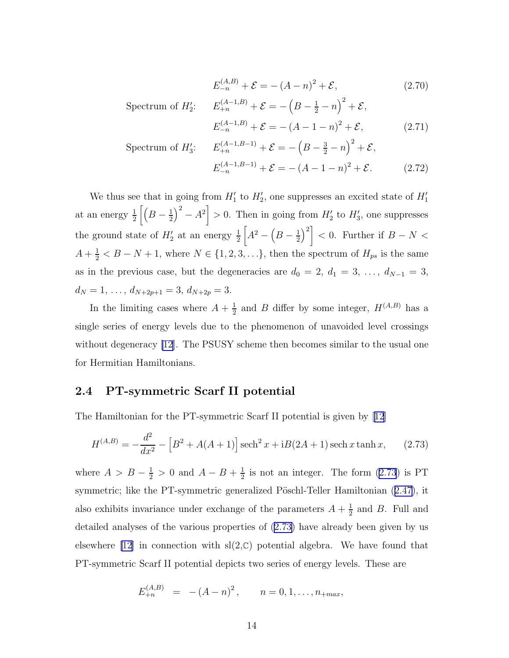$$
E_{-n}^{(A,B)} + \mathcal{E} = -(A - n)^2 + \mathcal{E},\tag{2.70}
$$

<span id="page-13-0"></span>Spectrum of  $H'_2$ :  $E_{+n}^{(A-1,B)} + \mathcal{E} = -\left(B - \frac{1}{2} - n\right)^2 + \mathcal{E}$ ,

$$
E_{-n}^{(A-1,B)} + \mathcal{E} = -(A-1-n)^2 + \mathcal{E},
$$
 (2.71)

$$
\begin{aligned} \text{Spectrum of } H_3' &= E_{+n}^{(A-1,B-1)} + \mathcal{E} = -\left(B - \frac{3}{2} - n\right)^2 + \mathcal{E}, \\ E_{-n}^{(A-1,B-1)} + \mathcal{E} = -\left(A - 1 - n\right)^2 + \mathcal{E}. \end{aligned} \tag{2.72}
$$

We thus see that in going from  $H'_1$  to  $H'_2$ , one suppresses an excited state of  $H'_1$ at an energy  $\frac{1}{2} \left[ \left( B - \frac{1}{2} \right) \right]$  $\left(\frac{1}{2}\right)^2 - A^2$  > 0. Then in going from  $H'_2$  to  $H'_3$ , one suppresses the ground state of  $H'_2$  at an energy  $\frac{1}{2}$  $A^2 - (B - \frac{1}{2})$  $\left(\frac{1}{2}\right)^2$  < 0. Further if  $B-N <$  $A + \frac{1}{2} < B - N + 1$ , where  $N \in \{1, 2, 3, \ldots\}$ , then the spectrum of  $H_{ps}$  is the same as in the previous case, but the degeneracies are  $d_0 = 2, d_1 = 3, \ldots, d_{N-1} = 3$ ,  $d_N = 1, \ldots, d_{N+2p+1} = 3, d_{N+2p} = 3.$ 

In the limiting cases where  $A + \frac{1}{2}$  $\frac{1}{2}$  and B differ by some integer,  $H^{(A,B)}$  has a single series of energy levels due to the phenomenon of unavoided level crossings without degeneracy [\[12](#page-26-0)]. The PSUSY scheme then becomes similar to the usual one for Hermitian Hamiltonians.

#### 2.4 PT-symmetric Scarf II potential

The Hamiltonian for the PT-symmetric Scarf II potential is given by[[12](#page-26-0)]

$$
H^{(A,B)} = -\frac{d^2}{dx^2} - [B^2 + A(A+1)] \operatorname{sech}^2 x + iB(2A+1) \operatorname{sech} x \tanh x, \qquad (2.73)
$$

where  $A > B - \frac{1}{2} > 0$  and  $A - B + \frac{1}{2}$  $\frac{1}{2}$  is not an integer. The form  $(2.73)$  is PT symmetric;like the PT-symmetric generalized Pöschl-Teller Hamiltonian ([2.47\)](#page-9-0), it also exhibits invariance under exchange of the parameters  $A + \frac{1}{2}$  $\frac{1}{2}$  and *B*. Full and detailed analyses of the various properties of (2.73) have already been given by us elsewhere [\[12\]](#page-26-0) in connection with  $sl(2,\mathbb{C})$  potential algebra. We have found that PT-symmetric Scarf II potential depicts two series of energy levels. These are

$$
E_{+n}^{(A,B)} = -(A-n)^2, \qquad n = 0, 1, \ldots, n_{+max},
$$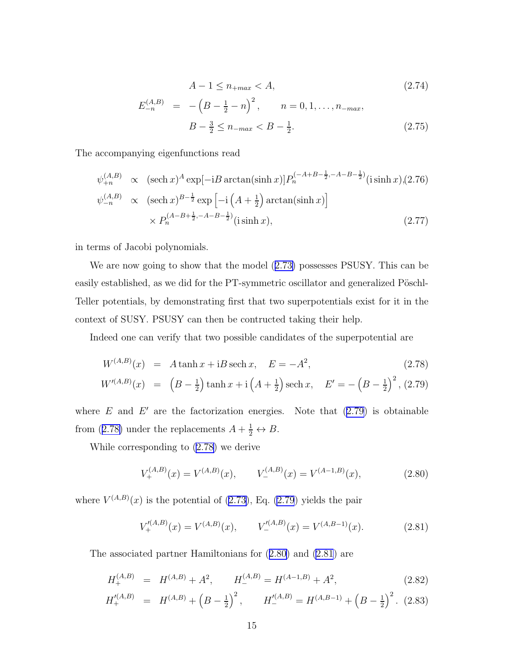$$
A - 1 \le n_{+max} < A,\tag{2.74}
$$

$$
E_{-n}^{(A,B)} = -\left(B - \frac{1}{2} - n\right)^2, \qquad n = 0, 1, \dots, n_{-max},
$$
  

$$
B - \frac{3}{2} \le n_{-max} < B - \frac{1}{2}.
$$
\n
$$
(2.75)
$$

<span id="page-14-0"></span>The accompanying eigenfunctions read

$$
\psi_{+n}^{(A,B)} \propto (\operatorname{sech} x)^{A} \exp[-iB \arctan(\sinh x)] P_{n}^{(-A+B-\frac{1}{2}, -A-B-\frac{1}{2})}(\iota \sinh x), (2.76)
$$
  

$$
\psi_{-n}^{(A,B)} \propto (\operatorname{sech} x)^{B-\frac{1}{2}} \exp\left[-i\left(A+\frac{1}{2}\right) \arctan(\sinh x)\right]
$$

$$
\times P_{n}^{(A-B+\frac{1}{2}, -A-B-\frac{1}{2})}(\iota \sinh x), \qquad (2.77)
$$

in terms of Jacobi polynomials.

We are now going to show that the model([2.73\)](#page-13-0) possesses PSUSY. This can be easily established, as we did for the PT-symmetric oscillator and generalized Pöschl-Teller potentials, by demonstrating first that two superpotentials exist for it in the context of SUSY. PSUSY can then be contructed taking their help.

Indeed one can verify that two possible candidates of the superpotential are

$$
W^{(A,B)}(x) = A \tanh x + iB \operatorname{sech} x, \quad E = -A^2,
$$
\n(2.78)

$$
W^{(A,B)}(x) = \left(B - \frac{1}{2}\right)\tanh x + i\left(A + \frac{1}{2}\right)\operatorname{sech} x, \quad E' = -\left(B - \frac{1}{2}\right)^2, (2.79)
$$

where  $E$  and  $E'$  are the factorization energies. Note that  $(2.79)$  is obtainable from (2.78) under the replacements  $A + \frac{1}{2} \leftrightarrow B$ .

While corresponding to (2.78) we derive

$$
V_{+}^{(A,B)}(x) = V_{-}^{(A,B)}(x), \qquad V_{-}^{(A,B)}(x) = V_{-}^{(A-1,B)}(x), \tag{2.80}
$$

where  $V^{(A,B)}(x)$  is the potential of [\(2.73](#page-13-0)), Eq. (2.79) yields the pair

$$
V'^{(A,B)}_{+}(x) = V^{(A,B)}(x), \qquad V'^{(A,B)}_{-}(x) = V^{(A,B-1)}(x). \tag{2.81}
$$

The associated partner Hamiltonians for (2.80) and (2.81) are

$$
H_+^{(A,B)} = H^{(A,B)} + A^2, \qquad H_-^{(A,B)} = H^{(A-1,B)} + A^2,\tag{2.82}
$$

$$
H_+^{\prime (A,B)} = H^{(A,B)} + \left(B - \frac{1}{2}\right)^2, \qquad H_-^{\prime (A,B)} = H^{(A,B-1)} + \left(B - \frac{1}{2}\right)^2. \tag{2.83}
$$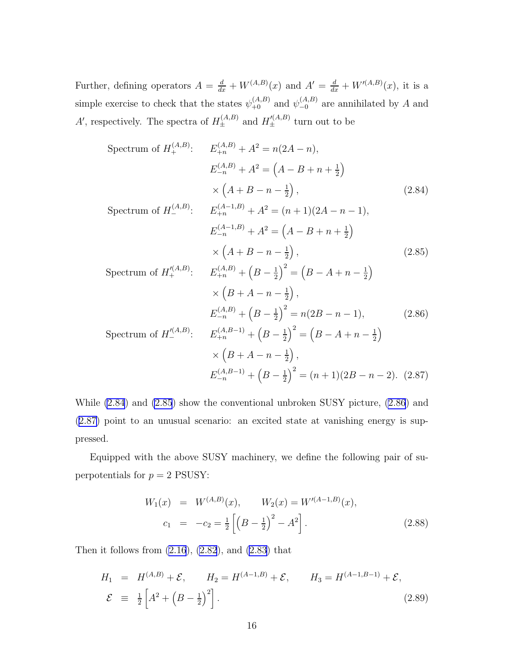<span id="page-15-0"></span>Further, defining operators  $A = \frac{d}{dx} + W^{(A,B)}(x)$  and  $A' = \frac{d}{dx} + W^{(A,B)}(x)$ , it is a simple exercise to check that the states  $\psi_{+0}^{(A,B)}$  and  $\psi_{-0}^{(A,B)}$  are annihilated by A and A', respectively. The spectra of  $H_{\pm}^{(A,B)}$  and  $H_{\pm}^{(A,B)}$  turn out to be

$$
\begin{aligned}\n\text{Spectrum of } H_+^{(A,B)}: \quad & E_{+n}^{(A,B)} + A^2 = n(2A - n), \\
& E_{-n}^{(A,B)} + A^2 = \left(A - B + n + \frac{1}{2}\right) \\
& \times \left(A + B - n - \frac{1}{2}\right), \\
& \text{Spectrum of } H_-^{(A,B)}: \quad E_{+n}^{(A-1,B)} + A^2 = (n+1)(2A - n - 1), \\
& E_{-n}^{(A-1,B)} + A^2 = \left(A - B + n + \frac{1}{2}\right) \\
& \times \left(A + B - n - \frac{1}{2}\right), \\
& \times \left(A + B - n - \frac{1}{2}\right), \\
& \times \left(B + A - n - \frac{1}{2}\right), \\
& E_{-n}^{(A,B)} + \left(B - \frac{1}{2}\right)^2 = n(2B - n - 1), \\
& E_{-n}^{(A,B)} + \left(B - \frac{1}{2}\right)^2 = n(2B - n - 1), \\
& \text{Spectrum of } H_-^{(A,B)}: \quad E_{+n}^{(A,B-1)} + \left(B - \frac{1}{2}\right)^2 = \left(B - A + n - \frac{1}{2}\right) \\
& \times \left(B + A - n - \frac{1}{2}\right), \\
& E_{-n}^{(A,B-1)} + \left(B - \frac{1}{2}\right)^2 = (n+1)(2B - n - 2). \quad (2.87)\n\end{aligned}
$$

While (2.84) and (2.85) show the conventional unbroken SUSY picture, (2.86) and (2.87) point to an unusual scenario: an excited state at vanishing energy is suppressed.

Equipped with the above SUSY machinery, we define the following pair of superpotentials for  $p = 2$  PSUSY:

$$
W_1(x) = W^{(A,B)}(x), \qquad W_2(x) = W'^{(A-1,B)}(x),
$$
  
\n
$$
c_1 = -c_2 = \frac{1}{2} \left[ \left( B - \frac{1}{2} \right)^2 - A^2 \right].
$$
\n(2.88)

Then it follows from  $(2.16)$ ,  $(2.82)$ , and  $(2.83)$  that

$$
H_1 = H^{(A,B)} + \mathcal{E}, \qquad H_2 = H^{(A-1,B)} + \mathcal{E}, \qquad H_3 = H^{(A-1,B-1)} + \mathcal{E},
$$
  

$$
\mathcal{E} \equiv \frac{1}{2} \left[ A^2 + \left( B - \frac{1}{2} \right)^2 \right]. \tag{2.89}
$$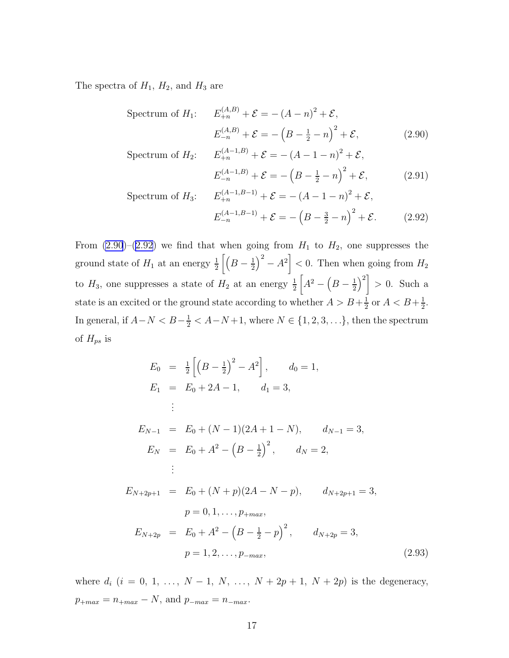The spectra of  $H_1$ ,  $H_2$ , and  $H_3$  are

Spectrum of 
$$
H_1
$$
:  $E_{+n}^{(A,B)} + \mathcal{E} = -(A - n)^2 + \mathcal{E}$ ,  
 $E_{-n}^{(A,B)} + \mathcal{E} = -\left(B - \frac{1}{2} - n\right)^2 + \mathcal{E}$ , (2.90)

Spectrum of 
$$
H_2
$$
:  $E_{+n}^{(A-1,B)} + \mathcal{E} = -(A-1-n)^2 + \mathcal{E}$ ,  
 $E_{-n}^{(A-1,B)} + \mathcal{E} = -(B-\frac{1}{2}-n)^2 + \mathcal{E}$ , (2.91)

Spectrum of 
$$
H_3
$$
:  $E_{+n}^{(A-1,B-1)} + \mathcal{E} = -(A-1-n)^2 + \mathcal{E},$   
 $E_{-n}^{(A-1,B-1)} + \mathcal{E} = -(B-\frac{3}{2}-n)^2 + \mathcal{E}.$  (2.92)

From  $(2.90)-(2.92)$  we find that when going from  $H_1$  to  $H_2$ , one suppresses the ground state of  $H_1$  at an energy  $\frac{1}{2}\left[\left(B-\frac{1}{2}\right)\right]$  $\left(\frac{1}{2}\right)^2 - A^2$  < 0. Then when going from  $H_2$ to  $H_3$ , one suppresses a state of  $H_2$  at an energy  $\frac{1}{2}$  $A^2 - (B - \frac{1}{2})$  $\left(\frac{1}{2}\right)^2$  > 0. Such a state is an excited or the ground state according to whether  $A > B + \frac{1}{2}$  $\frac{1}{2}$  or  $A < B + \frac{1}{2}$  $\frac{1}{2}$ . In general, if  $A-N < B-\frac{1}{2} < A-N+1$ , where  $N \in \{1, 2, 3, \ldots\}$ , then the spectrum of  $H_{ps}$  is

$$
E_0 = \frac{1}{2} \left[ \left( B - \frac{1}{2} \right)^2 - A^2 \right], \qquad d_0 = 1,
$$
  
\n
$$
E_1 = E_0 + 2A - 1, \qquad d_1 = 3,
$$
  
\n
$$
\vdots
$$
  
\n
$$
E_{N-1} = E_0 + (N-1)(2A + 1 - N), \qquad d_{N-1} = 3,
$$
  
\n
$$
E_N = E_0 + A^2 - \left( B - \frac{1}{2} \right)^2, \qquad d_N = 2,
$$
  
\n
$$
\vdots
$$
  
\n
$$
E_{N+2p+1} = E_0 + (N+p)(2A - N - p), \qquad d_{N+2p+1} = 3,
$$
  
\n
$$
p = 0, 1, \ldots, p_{+max},
$$
  
\n
$$
E_{N+2p} = E_0 + A^2 - \left( B - \frac{1}{2} - p \right)^2, \qquad d_{N+2p} = 3,
$$
  
\n
$$
p = 1, 2, \ldots, p_{-max}, \qquad (2.93)
$$

where  $d_i$   $(i = 0, 1, ..., N - 1, N, ..., N + 2p + 1, N + 2p)$  is the degeneracy,  $p_{+max} = n_{+max} - N$ , and  $p_{-max} = n_{-max}$ .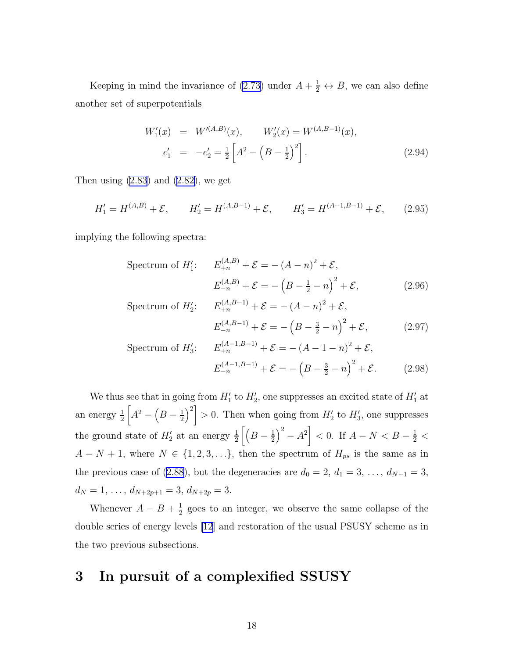Keeping in mind the invariance of [\(2.73](#page-13-0)) under  $A + \frac{1}{2} \leftrightarrow B$ , we can also define another set of superpotentials

$$
W_1'(x) = W'^{(A,B)}(x), \qquad W_2'(x) = W^{(A,B-1)}(x),
$$
  
\n
$$
c_1' = -c_2' = \frac{1}{2} \left[ A^2 - \left( B - \frac{1}{2} \right)^2 \right].
$$
\n(2.94)

Thenusing  $(2.83)$  and  $(2.82)$  $(2.82)$ , we get

$$
H_1' = H^{(A,B)} + \mathcal{E}, \qquad H_2' = H^{(A,B-1)} + \mathcal{E}, \qquad H_3' = H^{(A-1,B-1)} + \mathcal{E}, \qquad (2.95)
$$

implying the following spectra:

Spectrum of 
$$
H'_1
$$
:  $E_{+n}^{(A,B)} + \mathcal{E} = -(A - n)^2 + \mathcal{E}$ ,  
 $E_{-n}^{(A,B)} + \mathcal{E} = -(B - \frac{1}{2} - n)^2 + \mathcal{E}$ , (2.96)

Spectrum of 
$$
H'_2
$$
:  $E_{+n}^{(A,B-1)} + \mathcal{E} = -(A-n)^2 + \mathcal{E}$ ,  
 $E_{-n}^{(A,B-1)} + \mathcal{E} = -(B - \frac{3}{2} - n)^2 + \mathcal{E}$ , (2.97)

Spectrum of 
$$
H'_3
$$
:  $E_{+n}^{(A-1,B-1)} + \mathcal{E} = -(A-1-n)^2 + \mathcal{E}$ ,  
 $E_{-n}^{(A-1,B-1)} + \mathcal{E} = -(B-\frac{3}{2}-n)^2 + \mathcal{E}$ . (2.98)

We thus see that in going from  $H'_1$  to  $H'_2$ , one suppresses an excited state of  $H'_1$  at an energy  $\frac{1}{2}$  $A^2 - (B - \frac{1}{2})$  $\left(\frac{1}{2}\right)^2$  > 0. Then when going from  $H'_2$  to  $H'_3$ , one suppresses the ground state of  $H'_2$  at an energy  $\frac{1}{2}\left[\left(B-\frac{1}{2}\right)\right]$  $\left(\frac{1}{2}\right)^2 - A^2$  < 0. If  $A - N < B - \frac{1}{2}$  $A - N + 1$ , where  $N \in \{1, 2, 3, \ldots\}$ , then the spectrum of  $H_{ps}$  is the same as in the previous case of [\(2.88](#page-15-0)), but the degeneracies are  $d_0 = 2, d_1 = 3, \ldots, d_{N-1} = 3$ ,  $d_N = 1, \ldots, d_{N+2p+1} = 3, d_{N+2p} = 3.$ 

Whenever  $A - B + \frac{1}{2}$  $\frac{1}{2}$  goes to an integer, we observe the same collapse of the double series of energy levels [\[12](#page-26-0)] and restoration of the usual PSUSY scheme as in the two previous subsections.

### 3 In pursuit of a complexified SSUSY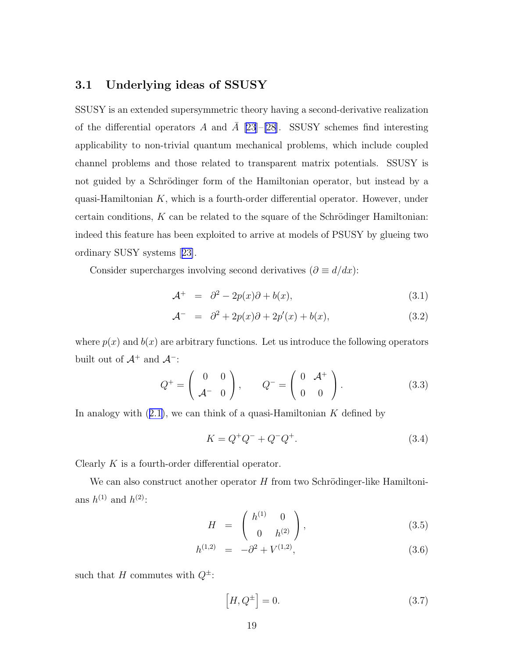### <span id="page-18-0"></span>3.1 Underlying ideas of SSUSY

SSUSY is an extended supersymmetric theory having a second-derivative realization of the differential operators A and  $\overline{A}$  [\[23\]](#page-26-0)–[\[28](#page-27-0)]. SSUSY schemes find interesting applicability to non-trivial quantum mechanical problems, which include coupled channel problems and those related to transparent matrix potentials. SSUSY is not guided by a Schrödinger form of the Hamiltonian operator, but instead by a quasi-Hamiltonian  $K$ , which is a fourth-order differential operator. However, under certain conditions,  $K$  can be related to the square of the Schrödinger Hamiltonian: indeed this feature has been exploited to arrive at models of PSUSY by glueing two ordinary SUSY systems[[23\]](#page-26-0).

Consider supercharges involving second derivatives ( $\partial \equiv d/dx$ ):

$$
\mathcal{A}^+ = \partial^2 - 2p(x)\partial + b(x), \tag{3.1}
$$

$$
\mathcal{A}^- = \partial^2 + 2p(x)\partial + 2p'(x) + b(x), \qquad (3.2)
$$

where  $p(x)$  and  $b(x)$  are arbitrary functions. Let us introduce the following operators built out of  $\mathcal{A}^+$  and  $\mathcal{A}^-$ :

$$
Q^{+} = \left(\begin{array}{cc} 0 & 0 \\ \mathcal{A}^{-} & 0 \end{array}\right), \qquad Q^{-} = \left(\begin{array}{cc} 0 & \mathcal{A}^{+} \\ 0 & 0 \end{array}\right). \tag{3.3}
$$

Inanalogy with  $(2.1)$  $(2.1)$ , we can think of a quasi-Hamiltonian K defined by

$$
K = Q^{+}Q^{-} + Q^{-}Q^{+}.
$$
\n(3.4)

Clearly  $K$  is a fourth-order differential operator.

We can also construct another operator  $H$  from two Schrödinger-like Hamiltonians  $h^{(1)}$  and  $h^{(2)}$ :

$$
H = \begin{pmatrix} h^{(1)} & 0 \\ 0 & h^{(2)} \end{pmatrix}, \tag{3.5}
$$

$$
h^{(1,2)} = -\partial^2 + V^{(1,2)}, \tag{3.6}
$$

such that H commutes with  $Q^{\pm}$ :

$$
\left[H, Q^{\pm}\right] = 0.\tag{3.7}
$$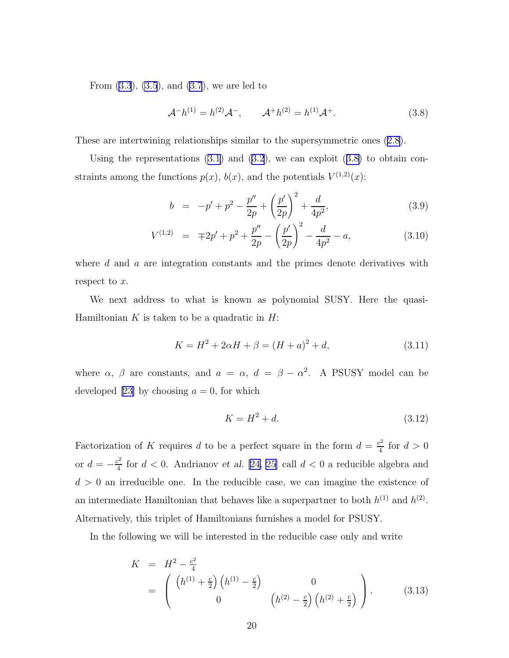<span id="page-19-0"></span>From [\(3.3](#page-18-0)), [\(3.5](#page-18-0)), and [\(3.7](#page-18-0)), we are led to

$$
\mathcal{A}^{-}h^{(1)} = h^{(2)}\mathcal{A}^{-}, \qquad \mathcal{A}^{+}h^{(2)} = h^{(1)}\mathcal{A}^{+}.
$$
 (3.8)

These are intertwining relationships similar to the supersymmetric ones [\(2.8](#page-3-0)).

Using the representations  $(3.1)$  and  $(3.2)$ , we can exploit  $(3.8)$  to obtain constraints among the functions  $p(x)$ ,  $b(x)$ , and the potentials  $V^{(1,2)}(x)$ :

$$
b = -p' + p^2 - \frac{p''}{2p} + \left(\frac{p'}{2p}\right)^2 + \frac{d}{4p^2},
$$
\n(3.9)

$$
V^{(1,2)} = \mp 2p' + p^2 + \frac{p''}{2p} - \left(\frac{p'}{2p}\right)^2 - \frac{d}{4p^2} - a,\tag{3.10}
$$

where d and a are integration constants and the primes denote derivatives with respect to  $x$ .

We next address to what is known as polynomial SUSY. Here the quasi-Hamiltonian  $K$  is taken to be a quadratic in  $H$ :

$$
K = H2 + 2\alpha H + \beta = (H + a)2 + d,
$$
\n(3.11)

where  $\alpha$ ,  $\beta$  are constants, and  $a = \alpha$ ,  $d = \beta - \alpha^2$ . A PSUSY model can be developed[[23\]](#page-26-0) by choosing  $a = 0$ , for which

$$
K = H^2 + d.\t\t(3.12)
$$

Factorization of K requires d to be a perfect square in the form  $d = \frac{c^2}{4}$  $rac{c^2}{4}$  for  $d > 0$ or  $d = -\frac{c^2}{4}$  $\frac{d^2}{4}$  for  $d < 0$ . Andrianov et al. [\[24, 25](#page-26-0)] call  $d < 0$  a reducible algebra and  $d > 0$  an irreducible one. In the reducible case, we can imagine the existence of an intermediate Hamiltonian that behaves like a superpartner to both  $h^{(1)}$  and  $h^{(2)}$ . Alternatively, this triplet of Hamiltonians furnishes a model for PSUSY.

In the following we will be interested in the reducible case only and write

$$
K = H^{2} - \frac{c^{2}}{4}
$$
  
=  $\begin{pmatrix} (h^{(1)} + \frac{c}{2}) (h^{(1)} - \frac{c}{2}) & 0 \\ 0 & (h^{(2)} - \frac{c}{2}) (h^{(2)} + \frac{c}{2}) \end{pmatrix}$ . (3.13)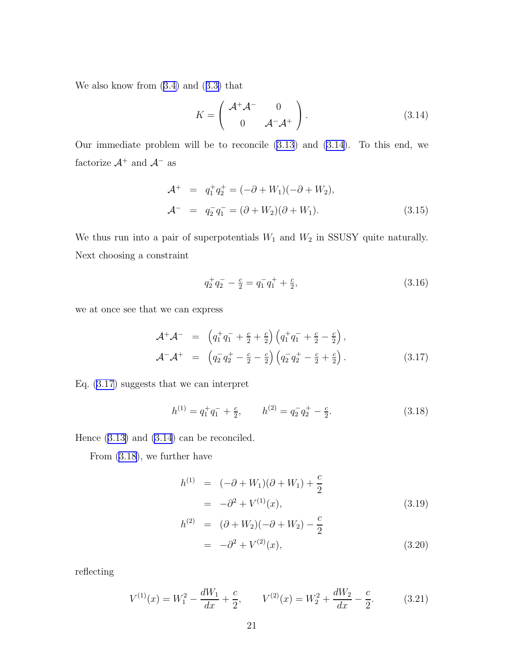<span id="page-20-0"></span>Wealso know from  $(3.4)$  $(3.4)$  and  $(3.3)$  $(3.3)$  that

$$
K = \left(\begin{array}{cc} \mathcal{A}^+ \mathcal{A}^- & 0\\ 0 & \mathcal{A}^- \mathcal{A}^+ \end{array}\right). \tag{3.14}
$$

Our immediate problem will be to reconcile [\(3.13](#page-19-0)) and (3.14). To this end, we factorize  $\mathcal{A}^+$  and  $\mathcal{A}^-$  as

$$
\mathcal{A}^+ = q_1^+ q_2^+ = (-\partial + W_1)(-\partial + W_2), \n\mathcal{A}^- = q_2^- q_1^- = (\partial + W_2)(\partial + W_1).
$$
\n(3.15)

We thus run into a pair of superpotentials  $W_1$  and  $W_2$  in SSUSY quite naturally. Next choosing a constraint

$$
q_2^+ q_2^- - \frac{c}{2} = q_1^- q_1^+ + \frac{c}{2},\tag{3.16}
$$

we at once see that we can express

$$
\mathcal{A}^+\mathcal{A}^- = \left(q_1^+q_1^- + \frac{c}{2} + \frac{c}{2}\right)\left(q_1^+q_1^- + \frac{c}{2} - \frac{c}{2}\right),\mathcal{A}^-\mathcal{A}^+ = \left(q_2^-q_2^+ - \frac{c}{2} - \frac{c}{2}\right)\left(q_2^-q_2^+ - \frac{c}{2} + \frac{c}{2}\right).
$$
\n(3.17)

Eq. (3.17) suggests that we can interpret

$$
h^{(1)} = q_1^+ q_1^- + \frac{c}{2}, \qquad h^{(2)} = q_2^- q_2^+ - \frac{c}{2}.
$$
 (3.18)

Hence([3.13\)](#page-19-0) and (3.14) can be reconciled.

From (3.18), we further have

$$
h^{(1)} = (-\partial + W_1)(\partial + W_1) + \frac{c}{2}
$$
  
=  $-\partial^2 + V^{(1)}(x)$ , (3.19)

$$
h^{(2)} = (\partial + W_2)(-\partial + W_2) - \frac{c}{2}
$$
  
= -\partial^2 + V^{(2)}(x), \t\t(3.20)

reflecting

$$
V^{(1)}(x) = W_1^2 - \frac{dW_1}{dx} + \frac{c}{2}, \qquad V^{(2)}(x) = W_2^2 + \frac{dW_2}{dx} - \frac{c}{2}.
$$
 (3.21)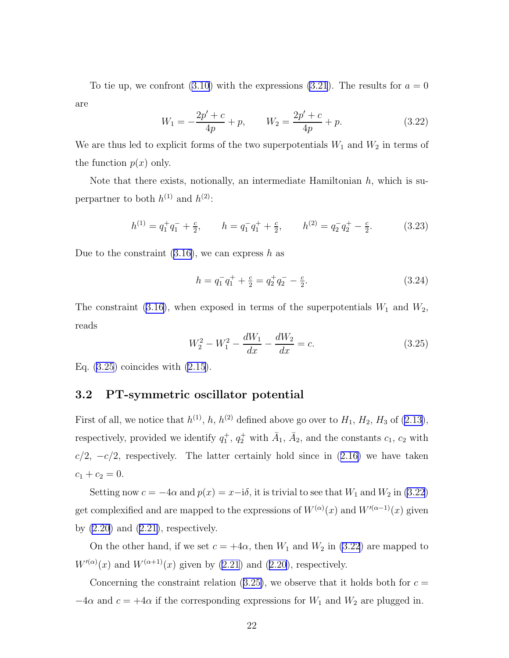<span id="page-21-0"></span>To tie up, we confront [\(3.10\)](#page-19-0) with the expressions [\(3.21](#page-20-0)). The results for  $a = 0$ are

$$
W_1 = -\frac{2p' + c}{4p} + p, \qquad W_2 = \frac{2p' + c}{4p} + p. \tag{3.22}
$$

We are thus led to explicit forms of the two superpotentials  $W_1$  and  $W_2$  in terms of the function  $p(x)$  only.

Note that there exists, notionally, an intermediate Hamiltonian  $h$ , which is superpartner to both  $h^{(1)}$  and  $h^{(2)}$ :

$$
h^{(1)} = q_1^+ q_1^- + \frac{c}{2}, \qquad h = q_1^- q_1^+ + \frac{c}{2}, \qquad h^{(2)} = q_2^- q_2^+ - \frac{c}{2}.
$$
 (3.23)

Due to the constraint  $(3.16)$ , we can express h as

$$
h = q_1^- q_1^+ + \frac{c}{2} = q_2^+ q_2^- - \frac{c}{2}.\tag{3.24}
$$

Theconstraint ([3.16\)](#page-20-0), when exposed in terms of the superpotentials  $W_1$  and  $W_2$ , reads

$$
W_2^2 - W_1^2 - \frac{dW_1}{dx} - \frac{dW_2}{dx} = c.
$$
 (3.25)

Eq. (3.25) coincides with [\(2.15](#page-4-0)).

### 3.2 PT-symmetric oscillator potential

Firstof all, we notice that  $h^{(1)}$ , h,  $h^{(2)}$  defined above go over to  $H_1$ ,  $H_2$ ,  $H_3$  of ([2.13\)](#page-3-0), respectively, provided we identify  $q_1^+, q_2^+$  with  $\bar{A}_1$ ,  $\bar{A}_2$ , and the constants  $c_1$ ,  $c_2$  with  $c/2$ , $-c/2$ , respectively. The latter certainly hold since in  $(2.16)$  $(2.16)$  we have taken  $c_1 + c_2 = 0.$ 

Setting now  $c = -4\alpha$  and  $p(x) = x-i\delta$ , it is trivial to see that  $W_1$  and  $W_2$  in (3.22) get complexified and are mapped to the expressions of  $W^{(\alpha)}(x)$  and  $W'^{(\alpha-1)}(x)$  given by $(2.20)$  and  $(2.21)$  $(2.21)$ , respectively.

On the other hand, if we set  $c = +4\alpha$ , then  $W_1$  and  $W_2$  in (3.22) are mapped to  $W^{(\alpha)}(x)$ and  $W^{(\alpha+1)}(x)$  given by [\(2.21](#page-5-0)) and ([2.20\)](#page-5-0), respectively.

Concerning the constraint relation (3.25), we observe that it holds both for  $c =$  $-4\alpha$  and  $c = +4\alpha$  if the corresponding expressions for  $W_1$  and  $W_2$  are plugged in.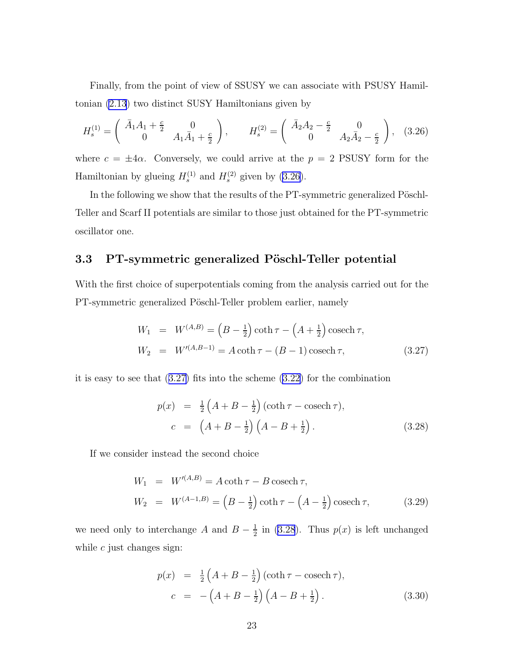Finally, from the point of view of SSUSY we can associate with PSUSY Hamiltonian [\(2.13](#page-3-0)) two distinct SUSY Hamiltonians given by

$$
H_s^{(1)} = \begin{pmatrix} \bar{A}_1 A_1 + \frac{c}{2} & 0\\ 0 & A_1 \bar{A}_1 + \frac{c}{2} \end{pmatrix}, \qquad H_s^{(2)} = \begin{pmatrix} \bar{A}_2 A_2 - \frac{c}{2} & 0\\ 0 & A_2 \bar{A}_2 - \frac{c}{2} \end{pmatrix}, \quad (3.26)
$$

where  $c = \pm 4\alpha$ . Conversely, we could arrive at the  $p = 2$  PSUSY form for the Hamiltonian by glueing  $H_s^{(1)}$  and  $H_s^{(2)}$  given by (3.26).

In the following we show that the results of the PT-symmetric generalized Pöschl-Teller and Scarf II potentials are similar to those just obtained for the PT-symmetric oscillator one.

### 3.3 PT-symmetric generalized Pöschl-Teller potential

With the first choice of superpotentials coming from the analysis carried out for the PT-symmetric generalized Pöschl-Teller problem earlier, namely

$$
W_1 = W^{(A,B)} = (B - \frac{1}{2}) \coth \tau - (A + \frac{1}{2}) \operatorname{cosech} \tau,
$$
  
\n
$$
W_2 = W'^{(A,B-1)} = A \coth \tau - (B - 1) \operatorname{cosech} \tau,
$$
\n(3.27)

it is easy to see that (3.27) fits into the scheme [\(3.22](#page-21-0)) for the combination

$$
p(x) = \frac{1}{2} \left( A + B - \frac{1}{2} \right) (\coth \tau - \csc \tau),
$$
  
\n
$$
c = \left( A + B - \frac{1}{2} \right) \left( A - B + \frac{1}{2} \right).
$$
 (3.28)

If we consider instead the second choice

$$
W_1 = W'^{(A,B)} = A \coth \tau - B \operatorname{cosech} \tau,
$$
  
\n
$$
W_2 = W^{(A-1,B)} = (B - \frac{1}{2}) \coth \tau - (A - \frac{1}{2}) \operatorname{cosech} \tau,
$$
 (3.29)

we need only to interchange A and  $B-\frac{1}{2}$  $\frac{1}{2}$  in (3.28). Thus  $p(x)$  is left unchanged while  $c$  just changes sign:

$$
p(x) = \frac{1}{2} \left( A + B - \frac{1}{2} \right) (\coth \tau - \csc \tau),
$$
  
\n
$$
c = - \left( A + B - \frac{1}{2} \right) \left( A - B + \frac{1}{2} \right). \tag{3.30}
$$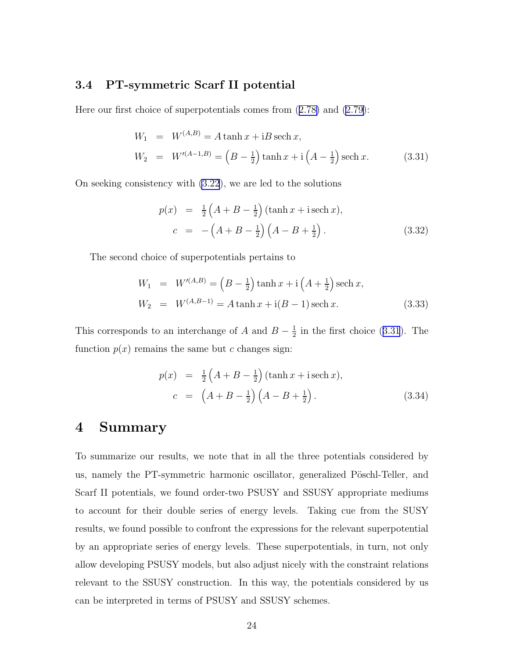#### 3.4 PT-symmetric Scarf II potential

Here our first choice of superpotentials comes from([2.78\)](#page-14-0) and [\(2.79](#page-14-0)):

$$
W_1 = W^{(A,B)} = A \tanh x + iB \operatorname{sech} x,
$$
  
\n
$$
W_2 = W'^{(A-1,B)} = (B - \frac{1}{2}) \tanh x + i \left( A - \frac{1}{2} \right) \operatorname{sech} x.
$$
 (3.31)

On seeking consistency with [\(3.22](#page-21-0)), we are led to the solutions

$$
p(x) = \frac{1}{2} \left( A + B - \frac{1}{2} \right) (\tanh x + i \operatorname{sech} x),
$$
  
\n
$$
c = - \left( A + B - \frac{1}{2} \right) \left( A - B + \frac{1}{2} \right). \tag{3.32}
$$

The second choice of superpotentials pertains to

$$
W_1 = W'^{(A,B)} = (B - \frac{1}{2}) \tanh x + i \left( A + \frac{1}{2} \right) \operatorname{sech} x,
$$
  
\n
$$
W_2 = W^{(A,B-1)} = A \tanh x + i(B-1) \operatorname{sech} x.
$$
\n(3.33)

This corresponds to an interchange of A and  $B-\frac{1}{2}$  $\frac{1}{2}$  in the first choice (3.31). The function  $p(x)$  remains the same but c changes sign:

$$
p(x) = \frac{1}{2} \left( A + B - \frac{1}{2} \right) (\tanh x + i \operatorname{sech} x),
$$
  
\n
$$
c = \left( A + B - \frac{1}{2} \right) \left( A - B + \frac{1}{2} \right).
$$
\n(3.34)

### 4 Summary

To summarize our results, we note that in all the three potentials considered by us, namely the PT-symmetric harmonic oscillator, generalized Pöschl-Teller, and Scarf II potentials, we found order-two PSUSY and SSUSY appropriate mediums to account for their double series of energy levels. Taking cue from the SUSY results, we found possible to confront the expressions for the relevant superpotential by an appropriate series of energy levels. These superpotentials, in turn, not only allow developing PSUSY models, but also adjust nicely with the constraint relations relevant to the SSUSY construction. In this way, the potentials considered by us can be interpreted in terms of PSUSY and SSUSY schemes.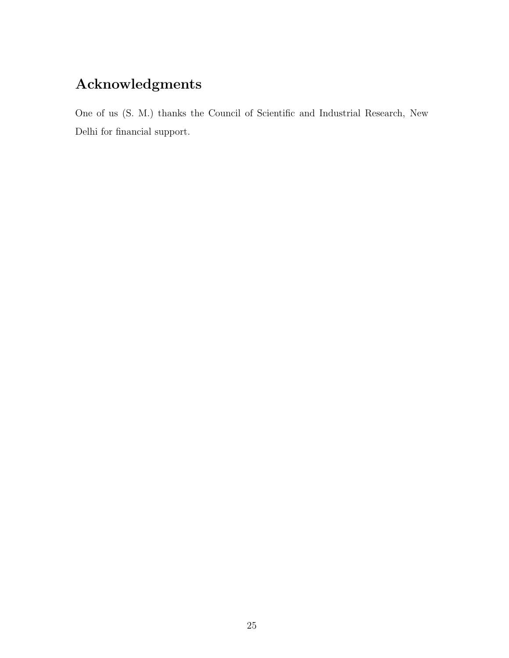## Acknowledgments

One of us (S. M.) thanks the Council of Scientific and Industrial Research, New Delhi for financial support.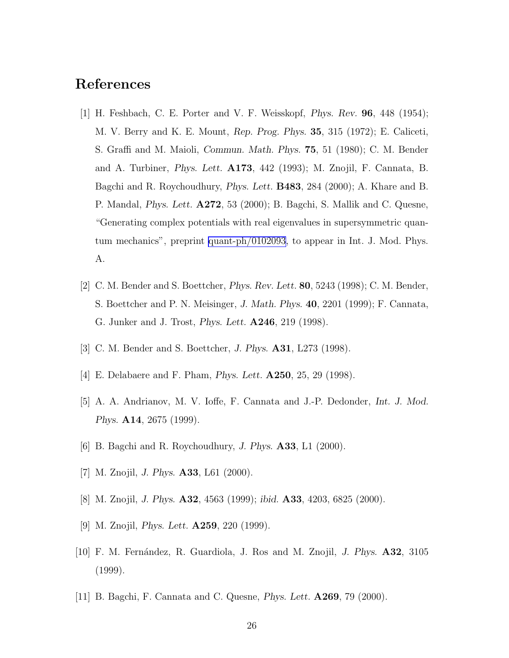## <span id="page-25-0"></span>References

- [1] H. Feshbach, C. E. Porter and V. F. Weisskopf, Phys. Rev. 96, 448 (1954); M. V. Berry and K. E. Mount, Rep. Prog. Phys. 35, 315 (1972); E. Caliceti, S. Graffi and M. Maioli, Commun. Math. Phys. 75, 51 (1980); C. M. Bender and A. Turbiner, Phys. Lett. A173, 442 (1993); M. Znojil, F. Cannata, B. Bagchi and R. Roychoudhury, Phys. Lett. B483, 284 (2000); A. Khare and B. P. Mandal, Phys. Lett. A272, 53 (2000); B. Bagchi, S. Mallik and C. Quesne, "Generating complex potentials with real eigenvalues in supersymmetric quantum mechanics", preprint [quant-ph/0102093](http://arxiv.org/abs/quant-ph/0102093), to appear in Int. J. Mod. Phys. A.
- [2] C. M. Bender and S. Boettcher, Phys. Rev. Lett. 80, 5243 (1998); C. M. Bender, S. Boettcher and P. N. Meisinger, J. Math. Phys. 40, 2201 (1999); F. Cannata, G. Junker and J. Trost, Phys. Lett. A246, 219 (1998).
- [3] C. M. Bender and S. Boettcher, J. Phys. A31, L273 (1998).
- [4] E. Delabaere and F. Pham, *Phys. Lett.* **A250**, 25, 29 (1998).
- [5] A. A. Andrianov, M. V. Ioffe, F. Cannata and J.-P. Dedonder, Int. J. Mod. Phys. A14, 2675 (1999).
- [6] B. Bagchi and R. Roychoudhury, J. Phys. A33, L1 (2000).
- [7] M. Znojil, J. Phys. A33, L61 (2000).
- [8] M. Znojil, J. Phys. A32, 4563 (1999); ibid. A33, 4203, 6825 (2000).
- [9] M. Znojil, Phys. Lett. A259, 220 (1999).
- [10] F. M. Fernández, R. Guardiola, J. Ros and M. Znojil, *J. Phys.* **A32**, 3105 (1999).
- [11] B. Bagchi, F. Cannata and C. Quesne, Phys. Lett. A269, 79 (2000).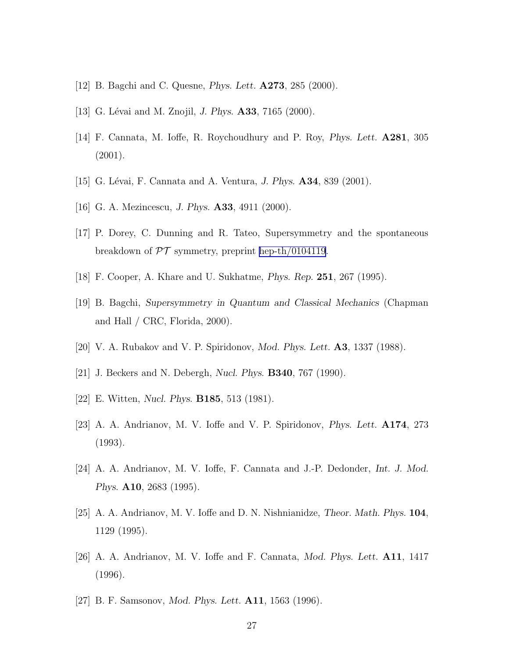- <span id="page-26-0"></span>[12] B. Bagchi and C. Quesne, Phys. Lett. A273, 285 (2000).
- [13] G. Lévai and M. Znojil, *J. Phys.* **A33**, 7165 (2000).
- [14] F. Cannata, M. Ioffe, R. Roychoudhury and P. Roy, Phys. Lett. A281, 305 (2001).
- [15] G. Lévai, F. Cannata and A. Ventura, J. Phys. **A34**, 839 (2001).
- [16] G. A. Mezincescu, J. Phys. **A33**, 4911 (2000).
- [17] P. Dorey, C. Dunning and R. Tateo, Supersymmetry and the spontaneous breakdown of  $\mathcal{PT}$  symmetry, preprint [hep-th/0104119](http://arxiv.org/abs/hep-th/0104119).
- [18] F. Cooper, A. Khare and U. Sukhatme, Phys. Rep. 251, 267 (1995).
- [19] B. Bagchi, Supersymmetry in Quantum and Classical Mechanics (Chapman and Hall / CRC, Florida, 2000).
- [20] V. A. Rubakov and V. P. Spiridonov, *Mod. Phys. Lett.* **A3**, 1337 (1988).
- [21] J. Beckers and N. Debergh, Nucl. Phys. B340, 767 (1990).
- [22] E. Witten, *Nucl. Phys.* **B185**, 513 (1981).
- [23] A. A. Andrianov, M. V. Ioffe and V. P. Spiridonov, Phys. Lett. A174, 273 (1993).
- [24] A. A. Andrianov, M. V. Ioffe, F. Cannata and J.-P. Dedonder, Int. J. Mod. Phys. A10, 2683 (1995).
- [25] A. A. Andrianov, M. V. Ioffe and D. N. Nishnianidze, Theor. Math. Phys. 104, 1129 (1995).
- [26] A. A. Andrianov, M. V. Ioffe and F. Cannata, Mod. Phys. Lett. A11, 1417 (1996).
- [27] B. F. Samsonov, Mod. Phys. Lett. A11, 1563 (1996).